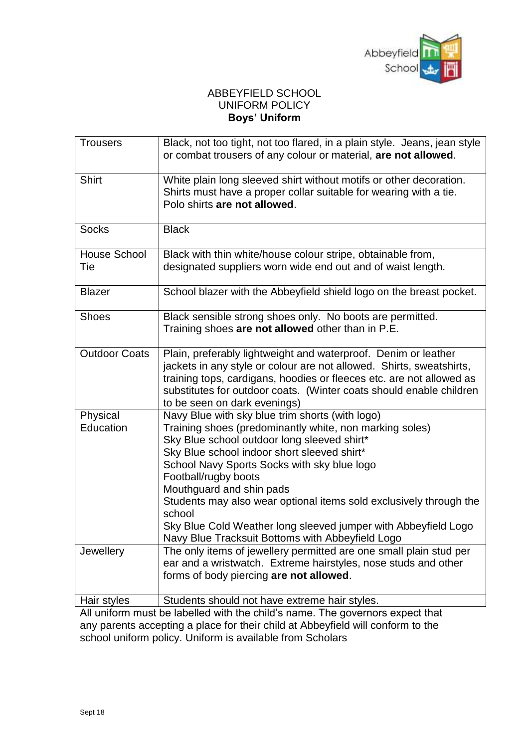

## ABBEYFIELD SCHOOL UNIFORM POLICY **Boys' Uniform**

| <b>Trousers</b>       | Black, not too tight, not too flared, in a plain style. Jeans, jean style<br>or combat trousers of any colour or material, are not allowed.                                                                                                                                                                                                                                                                                                                                                                       |
|-----------------------|-------------------------------------------------------------------------------------------------------------------------------------------------------------------------------------------------------------------------------------------------------------------------------------------------------------------------------------------------------------------------------------------------------------------------------------------------------------------------------------------------------------------|
| <b>Shirt</b>          | White plain long sleeved shirt without motifs or other decoration.<br>Shirts must have a proper collar suitable for wearing with a tie.<br>Polo shirts are not allowed.                                                                                                                                                                                                                                                                                                                                           |
| <b>Socks</b>          | <b>Black</b>                                                                                                                                                                                                                                                                                                                                                                                                                                                                                                      |
| House School<br>Tie   | Black with thin white/house colour stripe, obtainable from,<br>designated suppliers worn wide end out and of waist length.                                                                                                                                                                                                                                                                                                                                                                                        |
| <b>Blazer</b>         | School blazer with the Abbeyfield shield logo on the breast pocket.                                                                                                                                                                                                                                                                                                                                                                                                                                               |
| <b>Shoes</b>          | Black sensible strong shoes only. No boots are permitted.<br>Training shoes are not allowed other than in P.E.                                                                                                                                                                                                                                                                                                                                                                                                    |
| <b>Outdoor Coats</b>  | Plain, preferably lightweight and waterproof. Denim or leather<br>jackets in any style or colour are not allowed. Shirts, sweatshirts,<br>training tops, cardigans, hoodies or fleeces etc. are not allowed as<br>substitutes for outdoor coats. (Winter coats should enable children<br>to be seen on dark evenings)                                                                                                                                                                                             |
| Physical<br>Education | Navy Blue with sky blue trim shorts (with logo)<br>Training shoes (predominantly white, non marking soles)<br>Sky Blue school outdoor long sleeved shirt*<br>Sky Blue school indoor short sleeved shirt*<br>School Navy Sports Socks with sky blue logo<br>Football/rugby boots<br>Mouthguard and shin pads<br>Students may also wear optional items sold exclusively through the<br>school<br>Sky Blue Cold Weather long sleeved jumper with Abbeyfield Logo<br>Navy Blue Tracksuit Bottoms with Abbeyfield Logo |
| Jewellery             | The only items of jewellery permitted are one small plain stud per<br>ear and a wristwatch. Extreme hairstyles, nose studs and other<br>forms of body piercing are not allowed.                                                                                                                                                                                                                                                                                                                                   |
| Hair styles           | Students should not have extreme hair styles.                                                                                                                                                                                                                                                                                                                                                                                                                                                                     |

All uniform must be labelled with the child's name. The governors expect that any parents accepting a place for their child at Abbeyfield will conform to the school uniform policy. Uniform is available from Scholars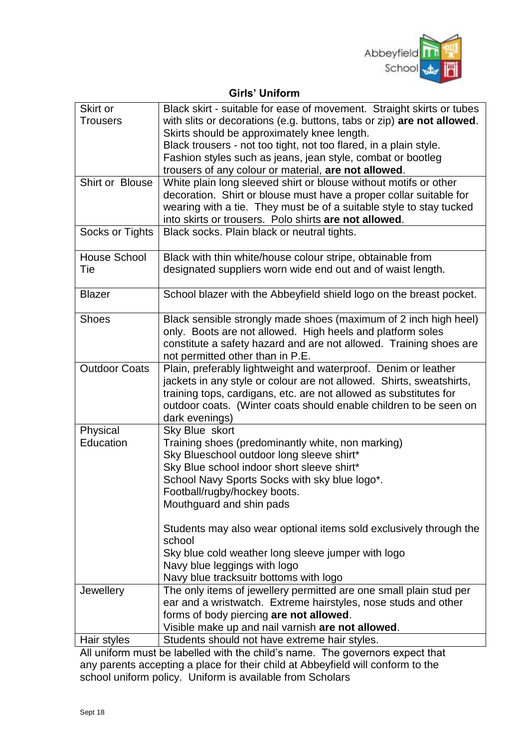

## **Girls' Uniform**

| Skirt or             | Black skirt - suitable for ease of movement. Straight skirts or tubes  |
|----------------------|------------------------------------------------------------------------|
| <b>Trousers</b>      | with slits or decorations (e.g. buttons, tabs or zip) are not allowed. |
|                      | Skirts should be approximately knee length.                            |
|                      |                                                                        |
|                      | Black trousers - not too tight, not too flared, in a plain style.      |
|                      | Fashion styles such as jeans, jean style, combat or bootleg            |
|                      | trousers of any colour or material, are not allowed.                   |
| Shirt or Blouse      | White plain long sleeved shirt or blouse without motifs or other       |
|                      | decoration. Shirt or blouse must have a proper collar suitable for     |
|                      | wearing with a tie. They must be of a suitable style to stay tucked    |
|                      |                                                                        |
|                      | into skirts or trousers. Polo shirts are not allowed.                  |
| Socks or Tights      | Black socks. Plain black or neutral tights.                            |
|                      |                                                                        |
| <b>House School</b>  | Black with thin white/house colour stripe, obtainable from             |
| Tie                  | designated suppliers worn wide end out and of waist length.            |
|                      |                                                                        |
|                      |                                                                        |
| <b>Blazer</b>        | School blazer with the Abbeyfield shield logo on the breast pocket.    |
|                      |                                                                        |
| <b>Shoes</b>         | Black sensible strongly made shoes (maximum of 2 inch high heel)       |
|                      | only. Boots are not allowed. High heels and platform soles             |
|                      | constitute a safety hazard and are not allowed. Training shoes are     |
|                      | not permitted other than in P.E.                                       |
| <b>Outdoor Coats</b> | Plain, preferably lightweight and waterproof. Denim or leather         |
|                      |                                                                        |
|                      | jackets in any style or colour are not allowed. Shirts, sweatshirts,   |
|                      | training tops, cardigans, etc. are not allowed as substitutes for      |
|                      | outdoor coats. (Winter coats should enable children to be seen on      |
|                      | dark evenings)                                                         |
| Physical             | Sky Blue skort                                                         |
| Education            | Training shoes (predominantly white, non marking)                      |
|                      | Sky Blueschool outdoor long sleeve shirt*                              |
|                      |                                                                        |
|                      | Sky Blue school indoor short sleeve shirt*                             |
|                      | School Navy Sports Socks with sky blue logo*.                          |
|                      | Football/rugby/hockey boots.                                           |
|                      | Mouthguard and shin pads                                               |
|                      |                                                                        |
|                      | Students may also wear optional items sold exclusively through the     |
|                      | school                                                                 |
|                      |                                                                        |
|                      | Sky blue cold weather long sleeve jumper with logo                     |
|                      | Navy blue leggings with logo                                           |
|                      | Navy blue tracksuitr bottoms with logo                                 |
| Jewellery            | The only items of jewellery permitted are one small plain stud per     |
|                      | ear and a wristwatch. Extreme hairstyles, nose studs and other         |
|                      | forms of body piercing are not allowed.                                |
|                      |                                                                        |
|                      | Visible make up and nail varnish are not allowed.                      |
| Hair styles          | Students should not have extreme hair styles.                          |

All uniform must be labelled with the child's name. The governors expect that any parents accepting a place for their child at Abbeyfield will conform to the school uniform policy. Uniform is available from Scholars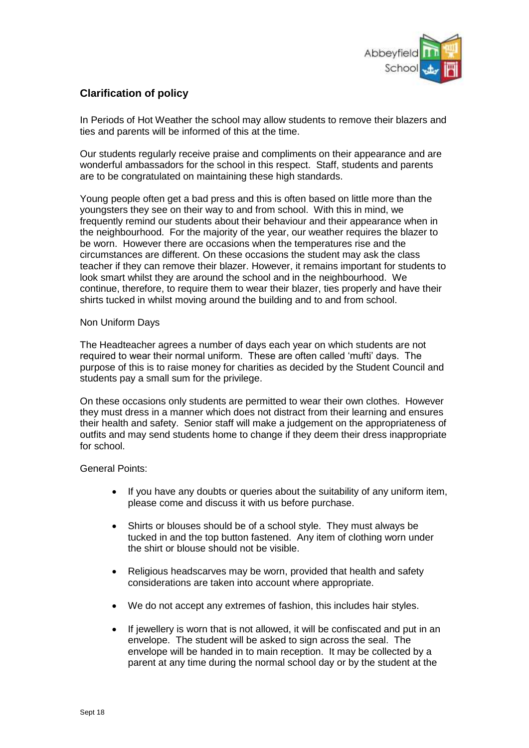

# **Clarification of policy**

In Periods of Hot Weather the school may allow students to remove their blazers and ties and parents will be informed of this at the time.

Our students regularly receive praise and compliments on their appearance and are wonderful ambassadors for the school in this respect. Staff, students and parents are to be congratulated on maintaining these high standards.

Young people often get a bad press and this is often based on little more than the youngsters they see on their way to and from school. With this in mind, we frequently remind our students about their behaviour and their appearance when in the neighbourhood. For the majority of the year, our weather requires the blazer to be worn. However there are occasions when the temperatures rise and the circumstances are different. On these occasions the student may ask the class teacher if they can remove their blazer. However, it remains important for students to look smart whilst they are around the school and in the neighbourhood. We continue, therefore, to require them to wear their blazer, ties properly and have their shirts tucked in whilst moving around the building and to and from school.

#### Non Uniform Days

The Headteacher agrees a number of days each year on which students are not required to wear their normal uniform. These are often called 'mufti' days. The purpose of this is to raise money for charities as decided by the Student Council and students pay a small sum for the privilege.

On these occasions only students are permitted to wear their own clothes. However they must dress in a manner which does not distract from their learning and ensures their health and safety. Senior staff will make a judgement on the appropriateness of outfits and may send students home to change if they deem their dress inappropriate for school.

#### General Points:

- If you have any doubts or queries about the suitability of any uniform item, please come and discuss it with us before purchase.
- Shirts or blouses should be of a school style. They must always be tucked in and the top button fastened. Any item of clothing worn under the shirt or blouse should not be visible.
- Religious headscarves may be worn, provided that health and safety considerations are taken into account where appropriate.
- We do not accept any extremes of fashion, this includes hair styles.
- If jewellery is worn that is not allowed, it will be confiscated and put in an envelope. The student will be asked to sign across the seal. The envelope will be handed in to main reception. It may be collected by a parent at any time during the normal school day or by the student at the